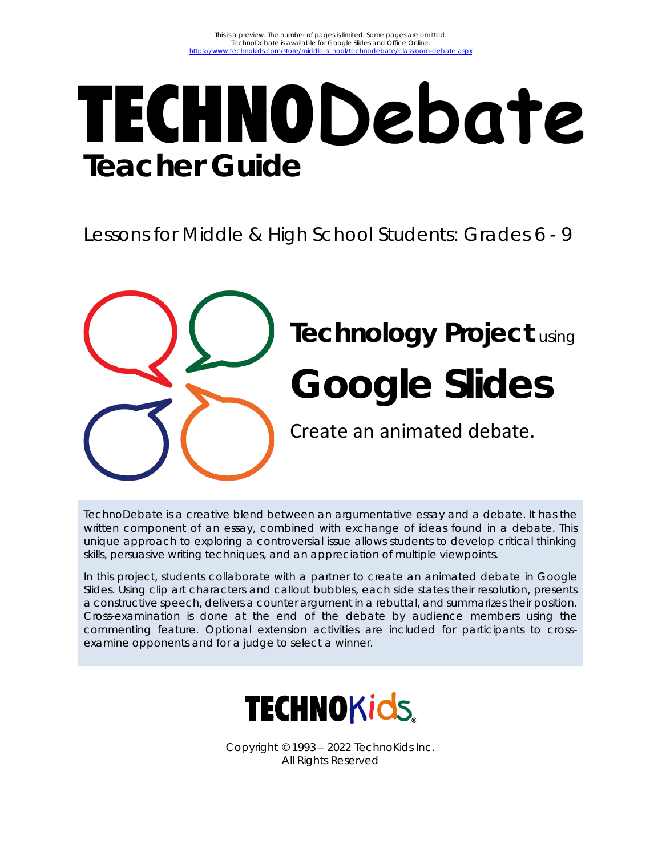# **TECHNODebate Teacher Guide**

Lessons for Middle & High School Students: Grades 6 - 9

**Technology Project** using **Google Slides** Create an animated debate.

TechnoDebate is a creative blend between an argumentative essay and a debate. It has the written component of an essay, combined with exchange of ideas found in a debate. This unique approach to exploring a controversial issue allows students to develop critical thinking skills, persuasive writing techniques, and an appreciation of multiple viewpoints.

In this project, students collaborate with a partner to create an animated debate in Google Slides. Using clip art characters and callout bubbles, each side states their resolution, presents a constructive speech, delivers a counter argument in a rebuttal, and summarizes their position. Cross-examination is done at the end of the debate by audience members using the commenting feature. Optional extension activities are included for participants to crossexamine opponents and for a judge to select a winner.



Copyright © 1993 – 2022 TechnoKids Inc. All Rights Reserved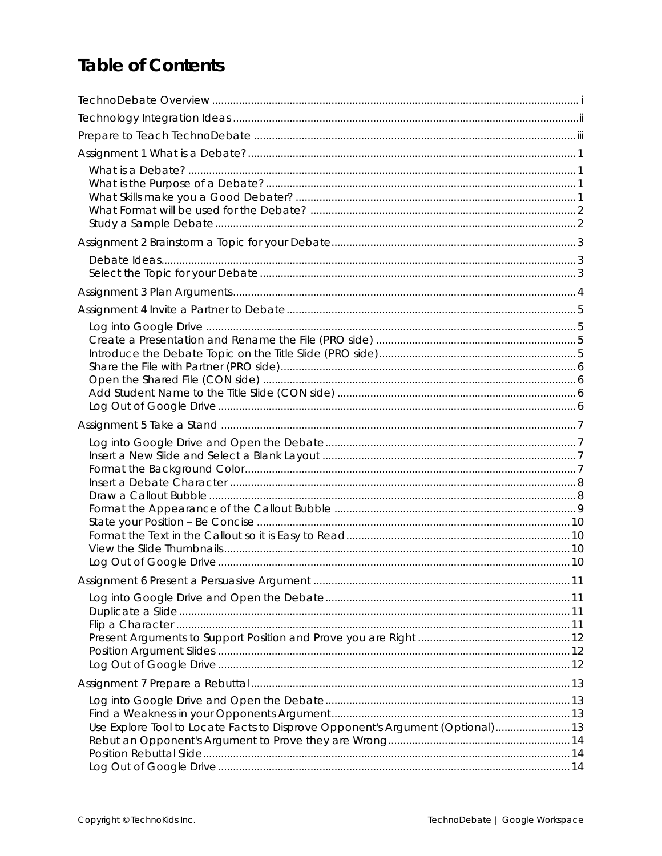## **Table of Contents**

| Use Explore Tool to Locate Facts to Disprove Opponent's Argument (Optional) 13 |  |
|--------------------------------------------------------------------------------|--|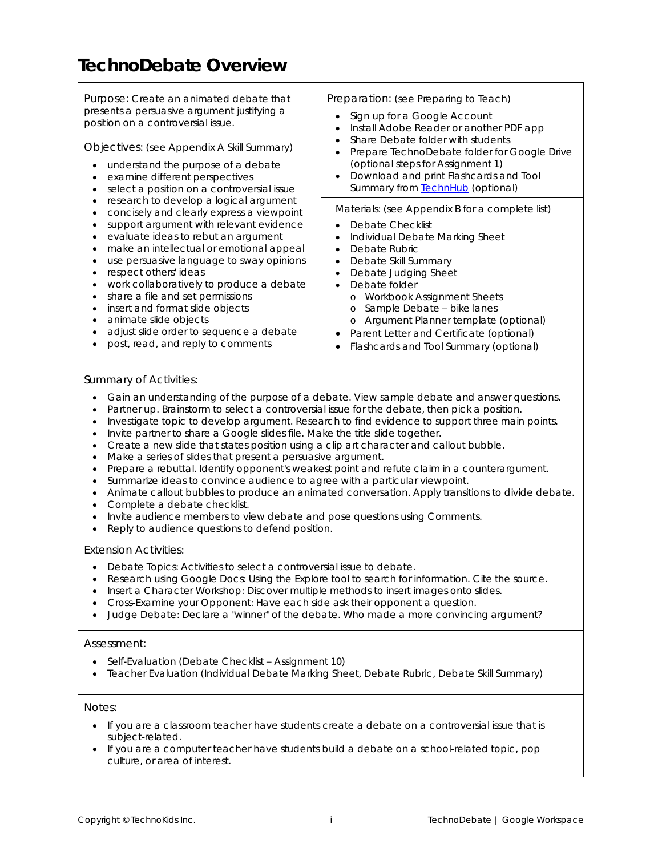## **TechnoDebate Overview**

| Purpose: Create an animated debate that<br>presents a persuasive argument justifying a<br>position on a controversial issue.                                                                                                                                                                                                                                                                                                       | Preparation: (see Preparing to Teach)<br>Sign up for a Google Account<br>٠<br>Install Adobe Reader or another PDF app<br>٠                                                                                                                                                                                                                                            |
|------------------------------------------------------------------------------------------------------------------------------------------------------------------------------------------------------------------------------------------------------------------------------------------------------------------------------------------------------------------------------------------------------------------------------------|-----------------------------------------------------------------------------------------------------------------------------------------------------------------------------------------------------------------------------------------------------------------------------------------------------------------------------------------------------------------------|
| Objectives: (see Appendix A Skill Summary)<br>understand the purpose of a debate<br>examine different perspectives<br>select a position on a controversial issue                                                                                                                                                                                                                                                                   | Share Debate folder with students<br>Prepare TechnoDebate folder for Google Drive<br>(optional steps for Assignment 1)<br>Download and print Flashcards and Tool<br>$\bullet$<br>Summary from <b>TechnHub</b> (optional)                                                                                                                                              |
| research to develop a logical argument<br>concisely and clearly express a viewpoint<br>support argument with relevant evidence<br>evaluate ideas to rebut an argument<br>make an intellectual or emotional appeal<br>use persuasive language to sway opinions<br>respect others' ideas<br>work collaboratively to produce a debate<br>share a file and set permissions<br>insert and format slide objects<br>animate slide objects | Materials: (see Appendix B for a complete list)<br>Debate Checklist<br>Individual Debate Marking Sheet<br>٠<br>Debate Rubric<br>$\bullet$<br>Debate Skill Summary<br>٠<br>Debate Judging Sheet<br>$\bullet$<br>Debate folder<br>$\bullet$<br>Workbook Assignment Sheets<br>$\circ$<br>Sample Debate - bike lanes<br>$\circ$<br>o Argument Planner template (optional) |
| adjust slide order to sequence a debate<br>post, read, and reply to comments                                                                                                                                                                                                                                                                                                                                                       | Parent Letter and Certificate (optional)<br>Flashcards and Tool Summary (optional)<br>$\bullet$                                                                                                                                                                                                                                                                       |

#### *Summary of Activities:*

- Gain an understanding of the purpose of a debate. View sample debate and answer questions.
- Partner up. Brainstorm to select a controversial issue for the debate, then pick a position.
- Investigate topic to develop argument. Research to find evidence to support three main points.
- Invite partner to share a Google slides file. Make the title slide together.
- Create a new slide that states position using a clip art character and callout bubble.
- Make a series of slides that present a persuasive argument.
- Prepare a rebuttal. Identify opponent's weakest point and refute claim in a counterargument.
- Summarize ideas to convince audience to agree with a particular viewpoint.
- Animate callout bubbles to produce an animated conversation. Apply transitions to divide debate. • Complete a debate checklist.
- Invite audience members to view debate and pose questions using Comments.
- Reply to audience questions to defend position.

#### *Extension Activities:*

- Debate Topics: Activities to select a controversial issue to debate.
- Research using Google Docs: Using the Explore tool to search for information. Cite the source.
- Insert a Character Workshop: Discover multiple methods to insert images onto slides.
- Cross-Examine your Opponent: Have each side ask their opponent a question.
- Judge Debate: Declare a "winner" of the debate. Who made a more convincing argument?

#### *Assessment:*

- Self-Evaluation (Debate Checklist Assignment 10)
- Teacher Evaluation (Individual Debate Marking Sheet, Debate Rubric, Debate Skill Summary)

#### *Notes:*

- If you are a classroom teacher have students create a debate on a controversial issue that is subject-related.
- If you are a computer teacher have students build a debate on a school-related topic, pop culture, or area of interest.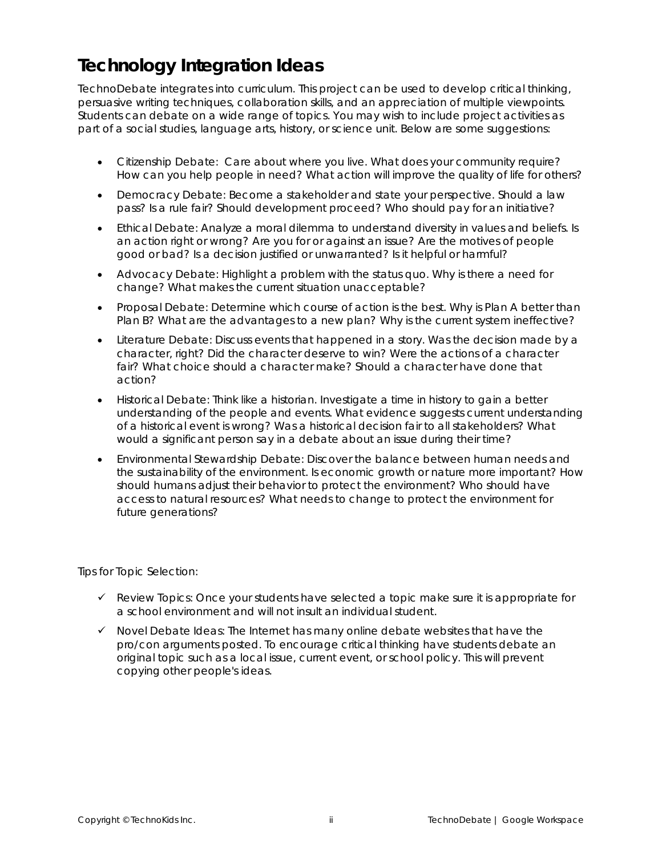## **Technology Integration Ideas**

TechnoDebate integrates into curriculum. This project can be used to develop critical thinking, persuasive writing techniques, collaboration skills, and an appreciation of multiple viewpoints. Students can debate on a wide range of topics. You may wish to include project activities as part of a social studies, language arts, history, or science unit. Below are some suggestions:

- *Citizenship Debate:* Care about where you live. What does your community require? How can you help people in need? What action will improve the quality of life for others?
- *Democracy Debate:* Become a stakeholder and state your perspective. Should a law pass? Is a rule fair? Should development proceed? Who should pay for an initiative?
- *Ethical Debate:* Analyze a moral dilemma to understand diversity in values and beliefs. Is an action right or wrong? Are you for or against an issue? Are the motives of people good or bad? Is a decision justified or unwarranted? Is it helpful or harmful?
- *Advocacy Debate:* Highlight a problem with the status quo. Why is there a need for change? What makes the current situation unacceptable?
- *Proposal Debate:* Determine which course of action is the best. Why is Plan A better than Plan B? What are the advantages to a new plan? Why is the current system ineffective?
- *Literature Debate:* Discuss events that happened in a story. Was the decision made by a character, right? Did the character deserve to win? Were the actions of a character fair? What choice should a character make? Should a character have done that action?
- *Historical Debate:* Think like a historian. Investigate a time in history to gain a better understanding of the people and events. What evidence suggests current understanding of a historical event is wrong? Was a historical decision fair to all stakeholders? What would a significant person say in a debate about an issue during their time?
- *Environmental Stewardship Debate*: Discover the balance between human needs and the sustainability of the environment. Is economic growth or nature more important? How should humans adjust their behavior to protect the environment? Who should have access to natural resources? What needs to change to protect the environment for future generations?

*Tips for Topic Selection:*

- ✓ *Review Topics:* Once your students have selected a topic make sure it is appropriate for a school environment and will not insult an individual student.
- ✓ *Novel Debate Ideas:* The Internet has many online debate websites that have the pro/con arguments posted. To encourage critical thinking have students debate an original topic such as a local issue, current event, or school policy. This will prevent copying other people's ideas.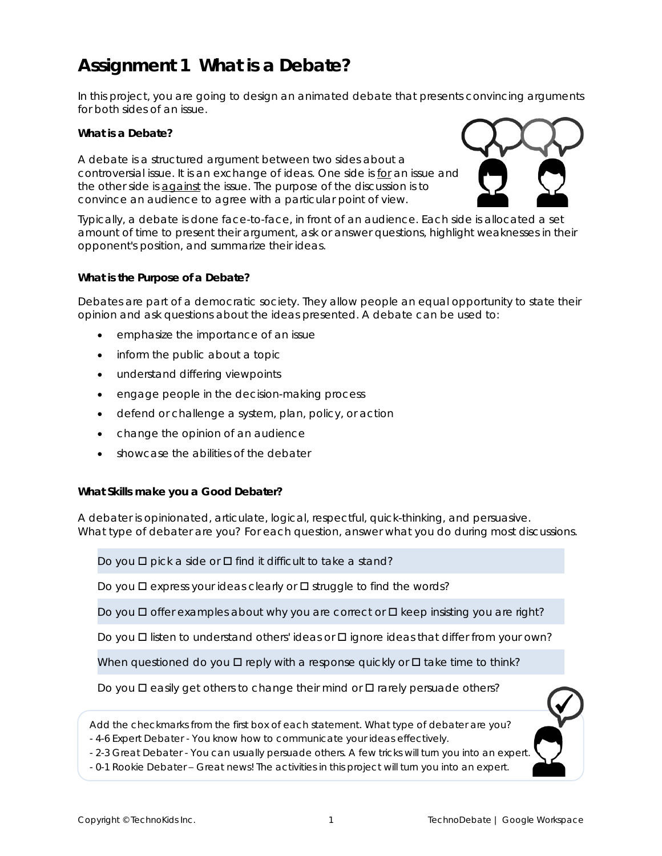## **Assignment 1 What is a Debate?**

In this project, you are going to design an animated debate that presents convincing arguments for both sides of an issue.

**What is a Debate?**

A debate is a structured argument between two sides about a controversial issue. It is an exchange of ideas. One side is *for* an issue and the other side is *against* the issue. The purpose of the discussion is to convince an audience to agree with a particular point of view.



Typically, a debate is done face-to-face, in front of an audience. Each side is allocated a set amount of time to present their argument, ask or answer questions, highlight weaknesses in their opponent's position, and summarize their ideas.

**What is the Purpose of a Debate?**

Debates are part of a democratic society. They allow people an equal opportunity to state their opinion and ask questions about the ideas presented. A debate can be used to:

- emphasize the importance of an issue
- inform the public about a topic
- understand differing viewpoints
- engage people in the decision-making process
- defend or challenge a system, plan, policy, or action
- change the opinion of an audience
- showcase the abilities of the debater

**What Skills make you a Good Debater?**

A debater is opinionated, articulate, logical, respectful, quick-thinking, and persuasive. What type of debater are you? For each question, answer what you do during most discussions.

Do you  $\Box$  pick a side or  $\Box$  find it difficult to take a stand?

Do you  $\Box$  express your ideas clearly or  $\Box$  struggle to find the words?

Do you  $\square$  offer examples about why you are correct or  $\square$  keep insisting you are right?

Do you  $\Box$  listen to understand others' ideas or  $\Box$  ignore ideas that differ from your own?

When questioned do you  $\Box$  reply with a response quickly or  $\Box$  take time to think?

Do you  $\Box$  easily get others to change their mind or  $\Box$  rarely persuade others?



- 4-6 *Expert Debater* - You know how to communicate your ideas effectively.

- 2-3 *Great Debater* - You can usually persuade others. A few tricks will turn you into an expert.

- 0-1 *Rookie Debater* – Great news! The activities in this project will turn you into an expert.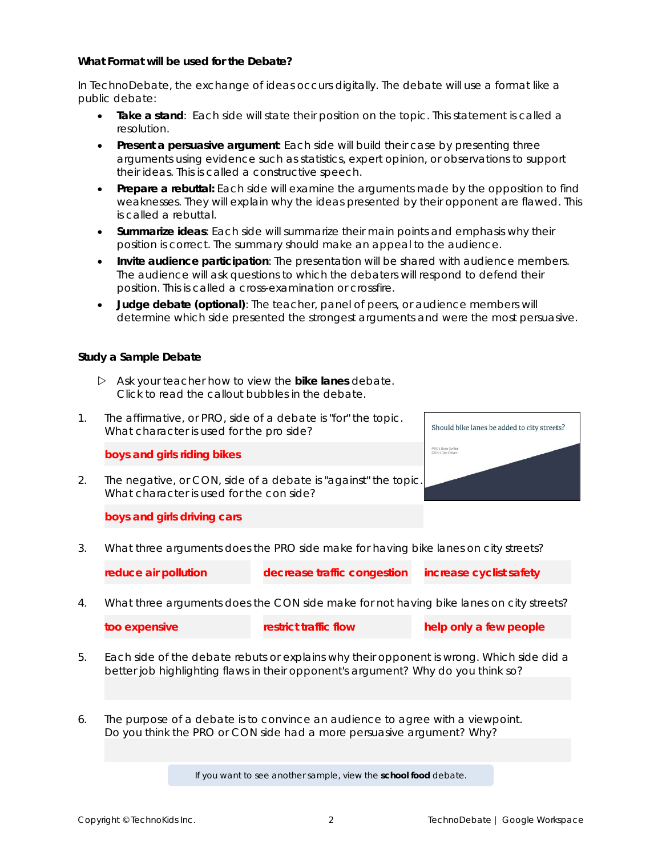**What Format will be used for the Debate?**

In TechnoDebate, the exchange of ideas occurs digitally. The debate will use a format like a public debate:

- **Take a stand**: Each side will state their position on the topic. This statement is called a *resolution*.
- **Present a persuasive argument**: Each side will build their case by presenting three arguments using evidence such as statistics, expert opinion, or observations to support their ideas. This is called a *constructive speech*.
- **Prepare a rebuttal:** Each side will examine the arguments made by the opposition to find weaknesses. They will explain why the ideas presented by their opponent are flawed. This is called a *rebuttal*.
- **Summarize ideas**: Each side will summarize their main points and emphasis why their position is correct. The *summary* should make an appeal to the audience.
- **Invite audience participation**: The presentation will be shared with audience members. The audience will ask questions to which the debaters will respond to defend their position. This is called a *cross-examination* or *crossfire*.
- **Judge debate (optional)**: The teacher, panel of peers, or audience members will determine which side presented the strongest arguments and were the most persuasive.

**Study a Sample Debate**

- Ask your teacher how to view the **bike lanes** debate. Click to read the callout bubbles in the debate.
- 1. The affirmative, or PRO, side of a debate is "for" the topic. What character is used for the pro side?

**boys and girls riding bikes**

2. The negative, or CON, side of a debate is "against" the topic. What character is used for the con side?



**boys and girls driving cars**

3. What three arguments does the PRO side make for having bike lanes on city streets?

**reduce air pollution decrease traffic congestion increase cyclist safety**

4. What three arguments does the CON side make for not having bike lanes on city streets?

| too expensive | restrict traffic flow | help only a few people |
|---------------|-----------------------|------------------------|
|               |                       |                        |

- 5. Each side of the debate *rebuts* or explains why their opponent is wrong. Which side did a better job highlighting flaws in their opponent's argument? Why do you think so?
- 6. The purpose of a debate is to convince an audience to agree with a viewpoint. Do you think the PRO or CON side had a more persuasive argument? Why?

If you want to see another sample, view the **school food** debate.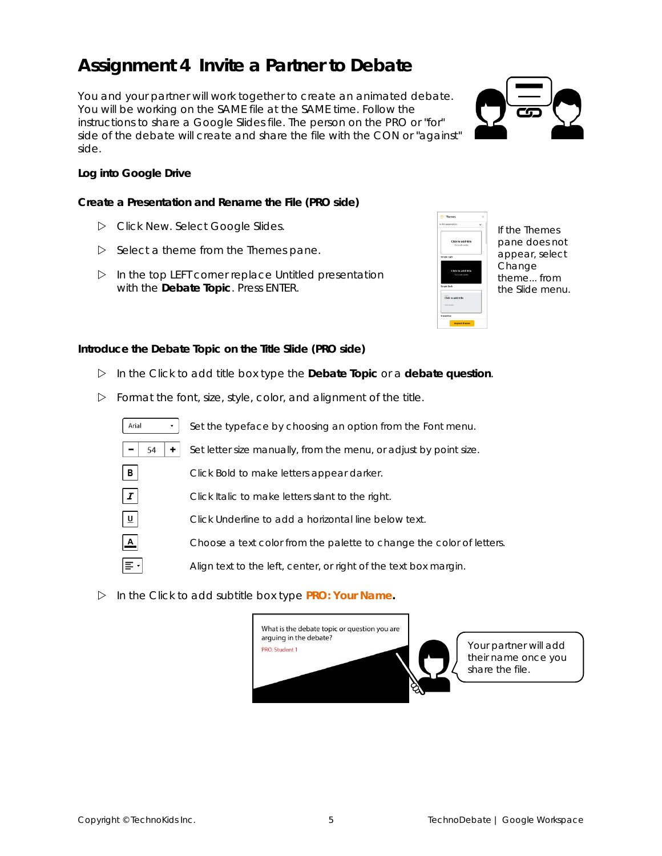#### **Assignment 4 Invite a Partner to Debate**

You and your partner will work together to create an animated debate. You will be working on the SAME file at the SAME time. Follow the instructions to share a Google Slides file. The person on the PRO or "for" side of the debate will create and share the file with the CON or "against" side.

**Log into Google Drive**

**Create a Presentation and Rename the File (PRO side)**

- Click *New*. Select *Google Slides*.
- $\triangleright$  Select a theme from the *Themes* pane.
- In the top LEFT corner replace *Untitled presentation* with the *Debate Topic*. Press ENTER.



If the *Themes* pane does not appear, select *Change theme..*. from the Slide menu.

**Introduce the Debate Topic on the Title Slide (PRO side)**

- In the *Click to add title* box type the *Debate Topic* or a **debate question**.
- $\triangleright$  Format the font, size, style, color, and alignment of the title.



In the *Click to add subtitle* box type **PRO: Your Name.**



Your partner will add their name once you share the file.

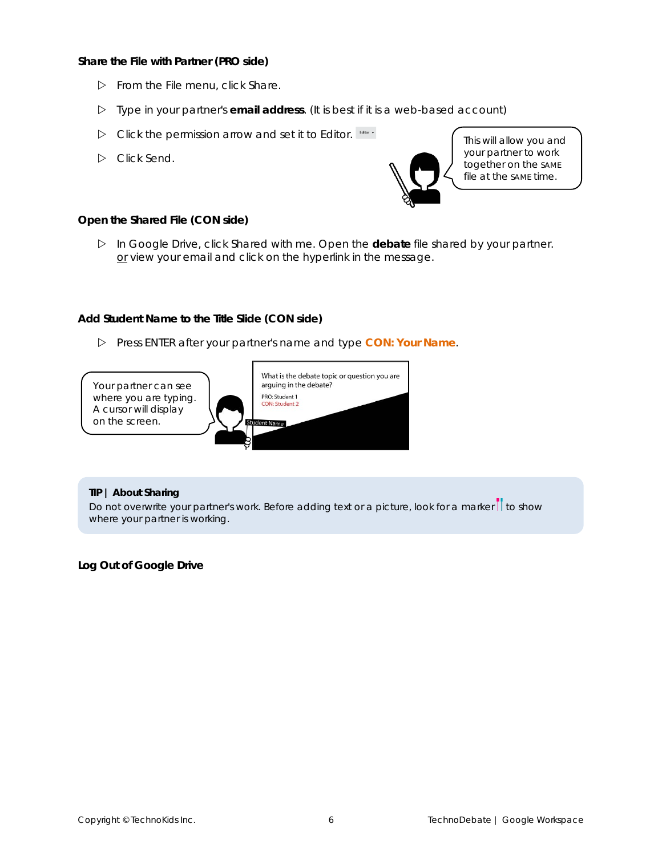**Share the File with Partner (PRO side)**

- From the File menu, click *Share*.
- Type in your partner's **email address**. (It is best if it is a web-based account)
- Click the permission arrow and set it to *Editor*.
- Click *Send*.



This will allow you and your partner to work together on the SAME file at the SAME time.

**Open the Shared File (CON side)**

 In Google Drive, click *Shared with me*. Open the **debate** file shared by your partner. or view your email and click on the hyperlink in the message.

**Add Student Name to the Title Slide (CON side)**

Press ENTER after your partner's name and type **CON: Your Name**.



**TIP | About Sharing**

Do not overwrite your partner's work. Before adding text or a picture, look for a marker  $\prod$  to show where your partner is working.

**Log Out of Google Drive**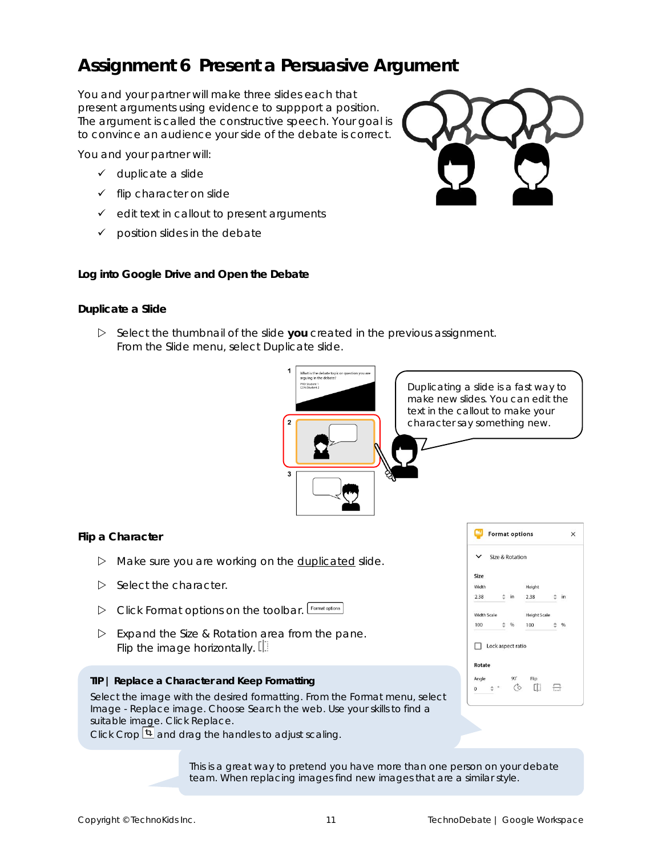## **Assignment 6 Present a Persuasive Argument**

You and your partner will make three slides each that present arguments using evidence to suppport a position. The argument is called the *constructive speech*. Your goal is to convince an audience your side of the debate is correct.

You and your partner will:

- ✓ duplicate a slide
- ✓ flip character on slide
- ✓ edit text in callout to present arguments
- $\checkmark$  position slides in the debate

**Log into Google Drive and Open the Debate**

#### **Duplicate a Slide**

 Select the thumbnail of the slide **you** created in the previous assignment. From the Slide menu, select *Duplicate slide*.



#### **Flip a Character**

- $\triangleright$  Make sure you are working on the duplicated slide.
- $\triangleright$  Select the character.
- Click *Format options* on the toolbar.
- Expand the *Size & Rotation* area from the pane. Flip the image horizontally.  $[$
- **TIP | Replace a Character and Keep Formatting**

Select the image with the desired formatting. From the Format menu, select *Image* - *Replace image*. Choose *Search the web*. Use your skills to find a suitable image. Click *Replace*.

Click *Crop* and drag the handles to adjust scaling.

This is a great way to pretend you have more than one person on your debate team. When replacing images find new images that are a similar style.

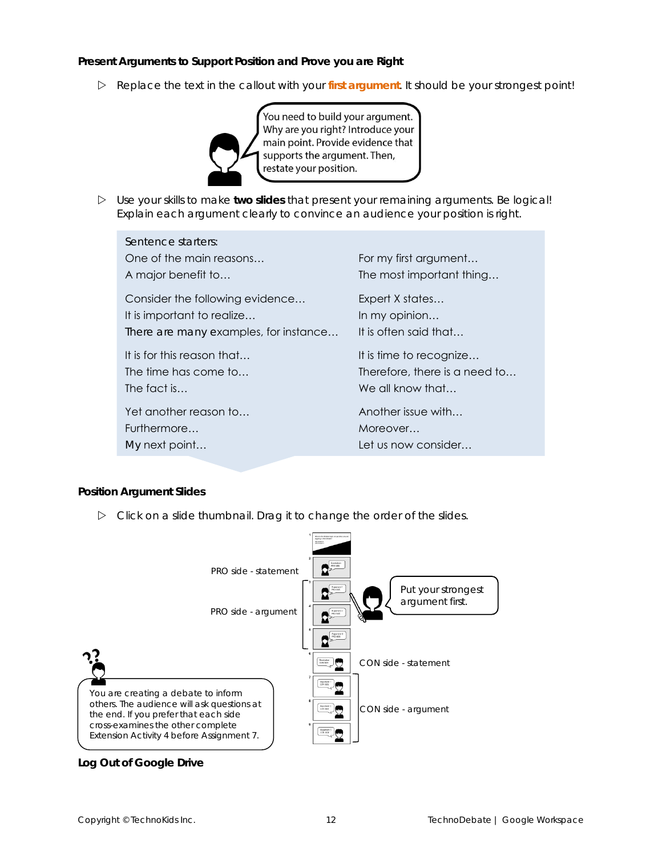**Present Arguments to Support Position and Prove you are Right**

Replace the text in the callout with your **first argument**. It should be your strongest point!



 Use your skills to make **two slides** that present your remaining arguments. Be logical! Explain each argument clearly to convince an audience your position is right.

| Sentence starters:                    |                               |
|---------------------------------------|-------------------------------|
| One of the main reasons               | For my first argument         |
| A major benefit to                    | The most important thing      |
| Consider the following evidence       | Expert X states               |
| It is important to realize            | In my opinion                 |
| There are many examples, for instance | It is often said that         |
| It is for this reason that            | It is time to recognize       |
| The time has come to                  | Therefore, there is a need to |
| The fact is                           | We all know that              |
| Yet another reason to                 | Another issue with            |
| Furthermore                           | Moreover                      |
| My next point                         | Let us now consider           |

**Position Argument Slides**

 $\triangleright$  Click on a slide thumbnail. Drag it to change the order of the slides.



**Log Out of Google Drive**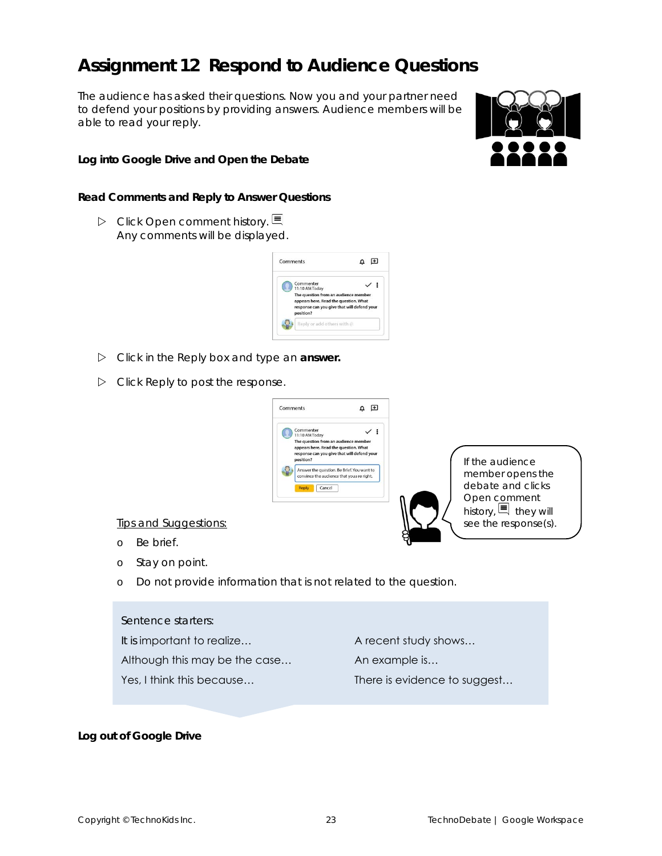## **Assignment 12 Respond to Audience Questions**

The audience has asked their questions. Now you and your partner need to defend your positions by providing answers. Audience members will be able to read your reply.

**Log into Google Drive and Open the Debate**

**Read Comments and Reply to Answer Questions**

 Click *Open comment history*. Any comments will be displayed.



- Click in the *Reply* box and type an **answer.**
- Click *Reply* to post the response.



Tips and Suggestions:

- o Be brief.
- o Stay on point.
- o Do not provide information that is not related to the question.

Sentence starters:

It is important to realize... A recent study shows...

Although this may be the case... An example is...

Yes, I think this because... There is evidence to suggest...

**Log out of Google Drive**

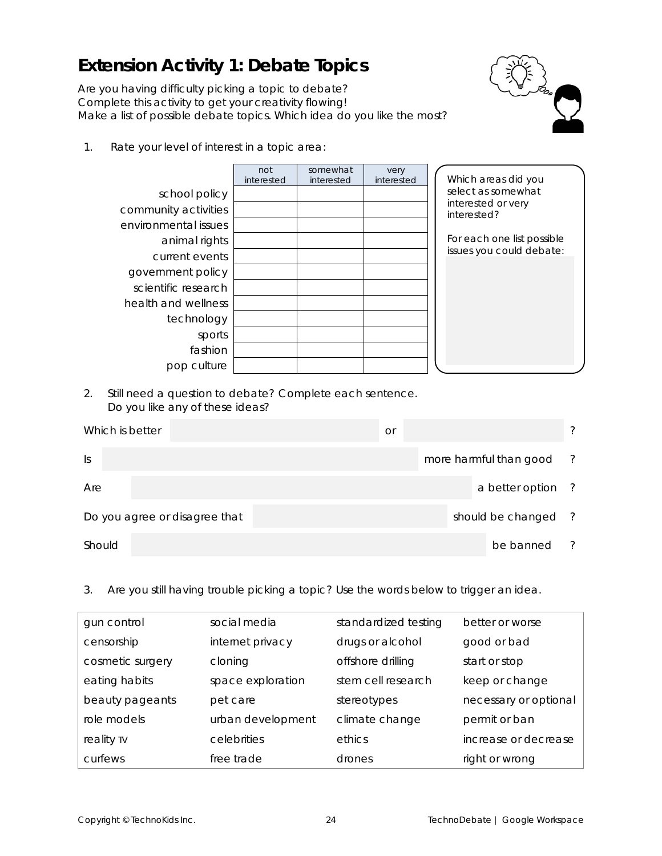## **Extension Activity 1: Debate Topics**

Are you having difficulty picking a topic to debate? Complete this activity to get your creativity flowing! Make a list of possible debate topics. Which idea do you like the most?



1. Rate your level of interest in a topic area:

|                      | not<br>interested | somewhat<br>interested | very<br>interested | Which areas did you               |
|----------------------|-------------------|------------------------|--------------------|-----------------------------------|
|                      |                   |                        |                    | select as somewhat                |
| school policy        |                   |                        |                    |                                   |
| community activities |                   |                        |                    | interested or very<br>interested? |
| environmental issues |                   |                        |                    |                                   |
| animal rights        |                   |                        |                    | For each one list possible        |
| current events       |                   |                        |                    | issues you could debate:          |
| government policy    |                   |                        |                    |                                   |
| scientific research  |                   |                        |                    |                                   |
| health and wellness  |                   |                        |                    |                                   |
| technology           |                   |                        |                    |                                   |
| sports               |                   |                        |                    |                                   |
| fashion              |                   |                        |                    |                                   |
| pop culture          |                   |                        |                    |                                   |

2. Still need a question to debate? Complete each sentence. Do you like any of these ideas?

| Which is better |                               |  | <b>Or</b> |                        | ?             |
|-----------------|-------------------------------|--|-----------|------------------------|---------------|
| $\vert$ S       |                               |  |           | more harmful than good | - ?           |
| Are             |                               |  |           | a better option ?      |               |
|                 | Do you agree or disagree that |  |           | should be changed ?    |               |
| Should          |                               |  |           | be banned              | $\mathcal{P}$ |

3. Are you still having trouble picking a topic? Use the words below to trigger an idea.

| gun control      | social media      | standardized testing | better or worse       |
|------------------|-------------------|----------------------|-----------------------|
| censorship       | internet privacy  | drugs or alcohol     | good or bad           |
| cosmetic surgery | cloning           | offshore drilling    | start or stop         |
| eating habits    | space exploration | stem cell research   | keep or change        |
| beauty pageants  | pet care          | stereotypes          | necessary or optional |
| role models      | urban development | climate change       | permit or ban         |
| reality TV       | celebrities       | ethics               | increase or decrease  |
| curfews          | free trade        | drones               | right or wrong        |
|                  |                   |                      |                       |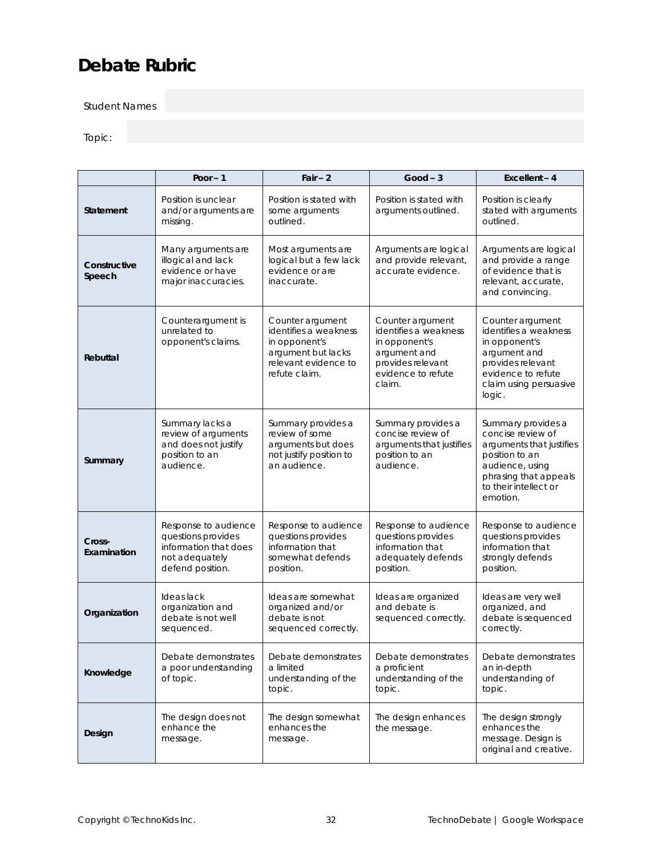## **Debate Rubric**

Student Names

#### Topic:

|                        | Poor $-1$                                                                                                 | $Fair - 2$                                                                                                                | $Good - 3$                                                                                                                      | Excellent $-4$                                                                                                                                                         |
|------------------------|-----------------------------------------------------------------------------------------------------------|---------------------------------------------------------------------------------------------------------------------------|---------------------------------------------------------------------------------------------------------------------------------|------------------------------------------------------------------------------------------------------------------------------------------------------------------------|
| Statement              | Position is unclear<br>and/or arguments are<br>missing.                                                   | Position is stated with<br>some arguments<br>outlined.                                                                    | Position is stated with<br>arguments outlined.                                                                                  | Position is clearly<br>stated with arguments<br>outlined.                                                                                                              |
| Constructive<br>Speech | Many arguments are<br>illogical and lack<br>evidence or have<br>major inaccuracies.                       | Most arguments are<br>logical but a few lack<br>evidence or are<br>inaccurate.                                            | Arguments are logical<br>and provide relevant,<br>accurate evidence.                                                            | Arguments are logical<br>and provide a range<br>of evidence that is<br>relevant, accurate,<br>and convincing.                                                          |
| Rebuttal               | Counterargument is<br>unrelated to<br>opponent's claims.                                                  | Counter argument<br>identifies a weakness<br>in opponent's<br>argument but lacks<br>relevant evidence to<br>refute claim. | Counter argument<br>identifies a weakness<br>in opponent's<br>argument and<br>provides relevant<br>evidence to refute<br>claim. | Counter argument<br>identifies a weakness<br>in opponent's<br>argument and<br>provides relevant<br>evidence to refute<br>claim using persuasive<br>logic.              |
| Summary                | Summary lacks a<br>review of arguments<br>and does not justify<br>position to an<br>audience.             | Summary provides a<br>review of some<br>arguments but does<br>not justify position to<br>an audience.                     | Summary provides a<br>concise review of<br>arguments that justifies<br>position to an<br>audience.                              | Summary provides a<br>concise review of<br>arguments that justifies<br>position to an<br>audience, using<br>phrasing that appeals<br>to their intellect or<br>emotion. |
| Cross-<br>Examination  | Response to audience<br>questions provides<br>information that does<br>not adequately<br>defend position. | Response to audience<br>questions provides<br>information that<br>somewhat defends<br>position.                           | Response to audience<br>questions provides<br>information that<br>adequately defends<br>position.                               | Response to audience<br>questions provides<br>information that<br>strongly defends<br>position.                                                                        |
| Organization           | Ideas lack<br>organization and<br>debate is not well<br>sequenced.                                        | Ideas are somewhat<br>organized and/or<br>debate is not<br>sequenced correctly.                                           | Ideas are organized<br>and debate is<br>sequenced correctly.                                                                    | Ideas are very well<br>organized, and<br>debate is sequenced<br>correctly.                                                                                             |
| Knowledge              | Debate demonstrates<br>a poor understanding<br>of topic.                                                  | Debate demonstrates<br>a limited<br>understanding of the<br>topic.                                                        | Debate demonstrates<br>a proficient<br>understanding of the<br>topic.                                                           | Debate demonstrates<br>an in-depth<br>understanding of<br>topic.                                                                                                       |
| Design                 | The design does not<br>enhance the<br>message.                                                            | The design somewhat<br>enhances the<br>message.                                                                           | The design enhances<br>the message.                                                                                             | The design strongly<br>enhances the<br>message. Design is<br>original and creative.                                                                                    |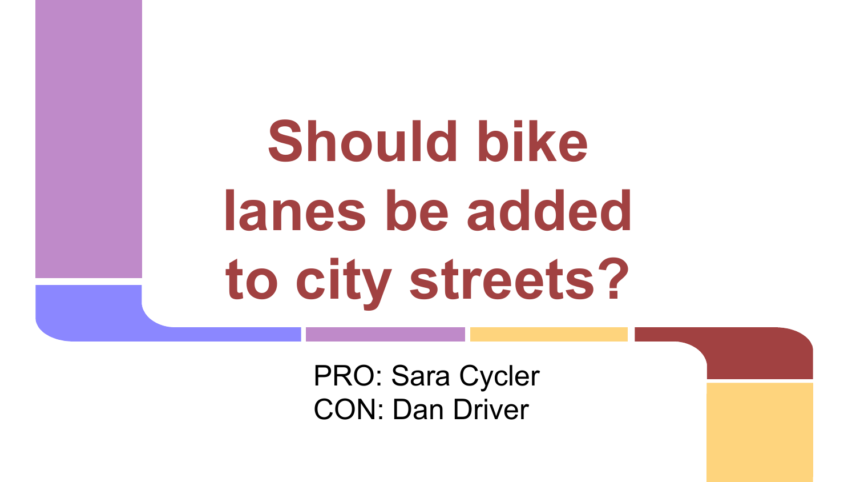**Should bike lanes be added to city streets?**

> PRO: Sara Cycler CON: Dan Driver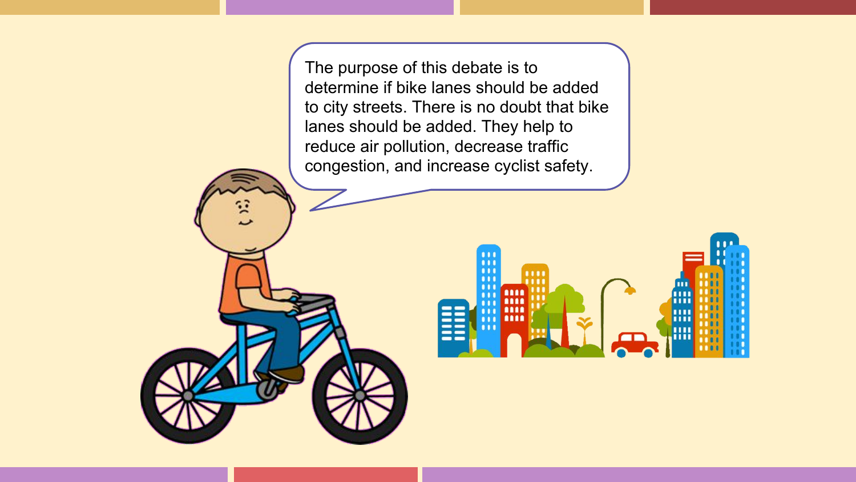The purpose of this debate is to determine if bike lanes should be added to city streets. There is no doubt that bike lanes should be added. They help to reduce air pollution, decrease traffic congestion, and increase cyclist safety.

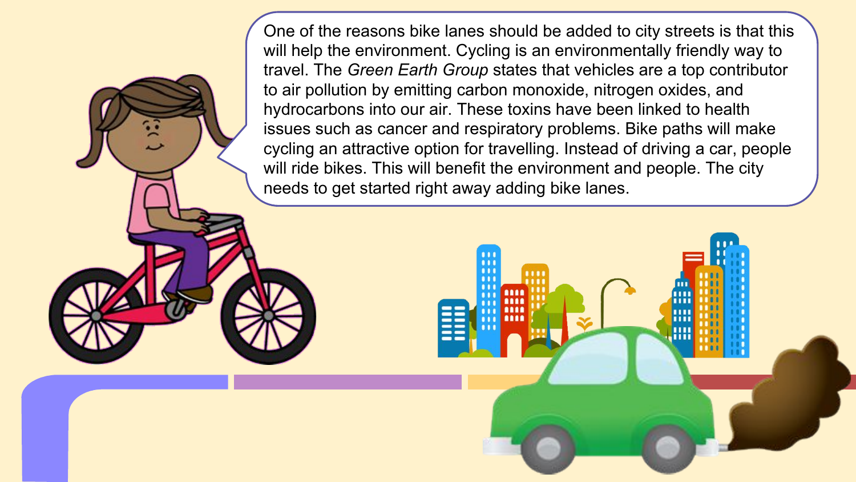One of the reasons bike lanes should be added to city streets is that this will help the environment. Cycling is an environmentally friendly way to travel. The *Green Earth Group* states that vehicles are a top contributor to air pollution by emitting carbon monoxide, nitrogen oxides, and hydrocarbons into our air. These toxins have been linked to health issues such as cancer and respiratory problems. Bike paths will make cycling an attractive option for travelling. Instead of driving a car, people will ride bikes. This will benefit the environment and people. The city needs to get started right away adding bike lanes.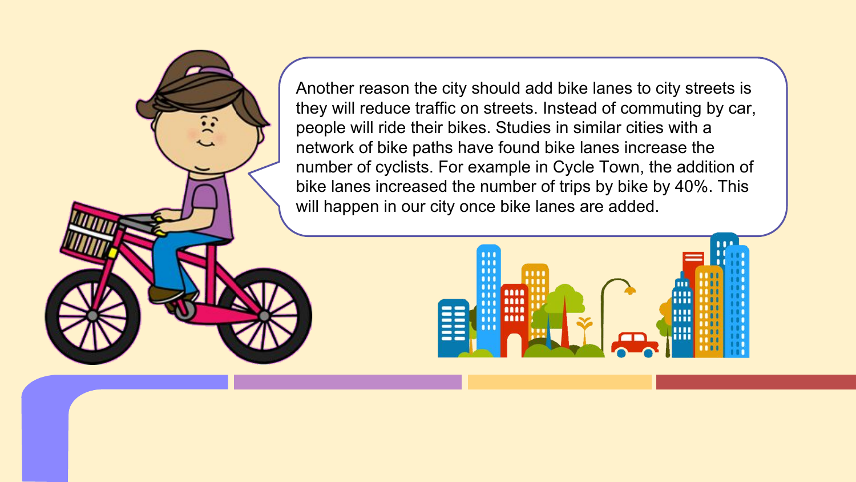Another reason the city should add bike lanes to city streets is they will reduce traffic on streets. Instead of commuting by car, people will ride their bikes. Studies in similar cities with a network of bike paths have found bike lanes increase the number of cyclists. For example in Cycle Town, the addition of bike lanes increased the number of trips by bike by 40%. This will happen in our city once bike lanes are added.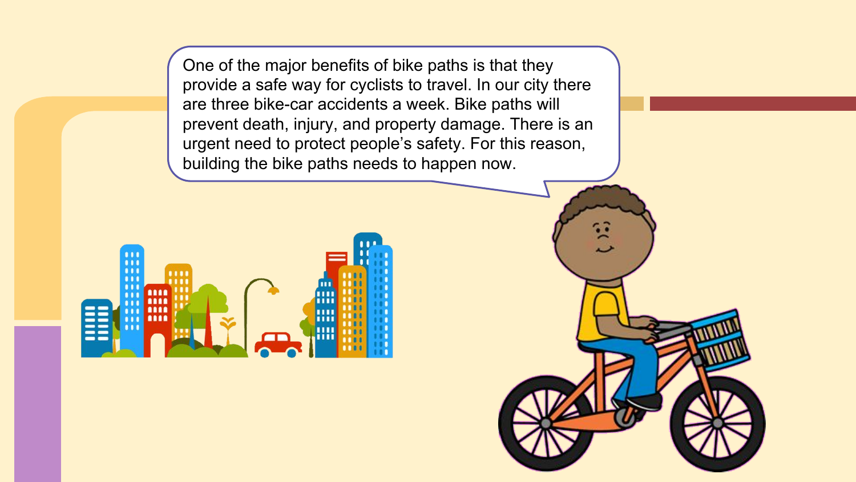One of the major benefits of bike paths is that they provide a safe way for cyclists to travel. In our city there are three bike-car accidents a week. Bike paths will prevent death, injury, and property damage. There is an urgent need to protect people's safety. For this reason, building the bike paths needs to happen now.



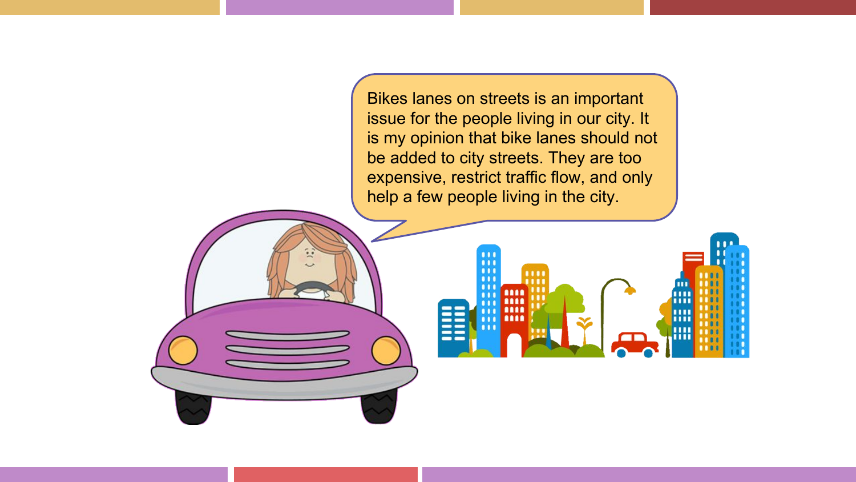Bikes lanes on streets is an important issue for the people living in our city. It is my opinion that bike lanes should not be added to city streets. They are too expensive, restrict traffic flow, and only help a few people living in the city.

ш

 $-1$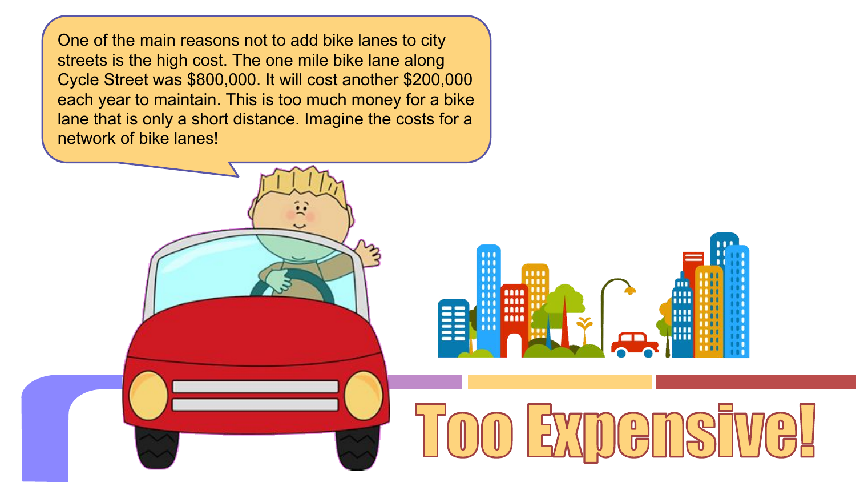One of the main reasons not to add bike lanes to city streets is the high cost. The one mile bike lane along Cycle Street was \$800,000. It will cost another \$200,000 each year to maintain. This is too much money for a bike lane that is only a short distance. Imagine the costs for a network of bike lanes!

 $\cdots$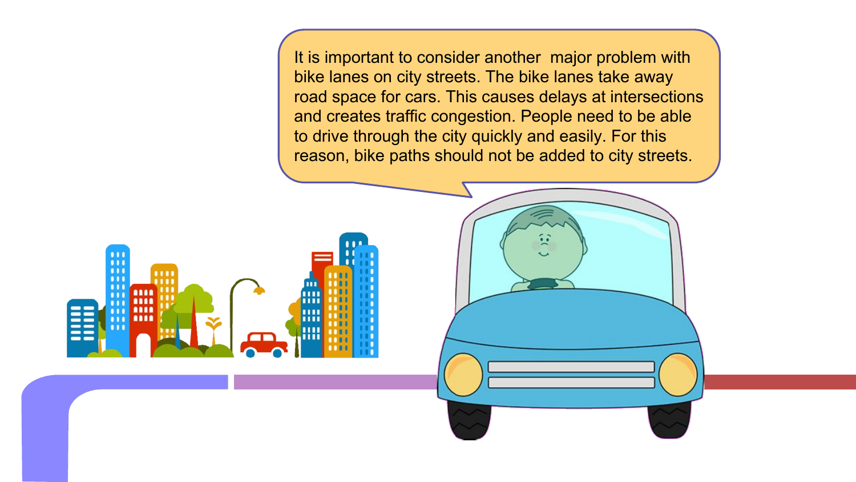It is important to consider another major problem with bike lanes on city streets. The bike lanes take away road space for cars. This causes delays at intersections and creates traffic congestion. People need to be able to drive through the city quickly and easily. For this reason, bike paths should not be added to city streets.

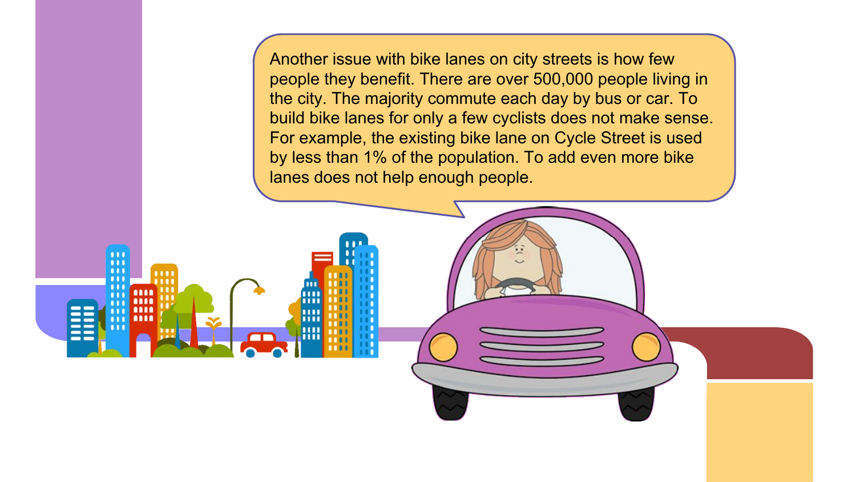Another issue with bike lanes on city streets is how few people they benefit. There are over 500,000 people living in the city. The majority commute each day by bus or car. To build bike lanes for only a few cyclists does not make sense. For example, the existing bike lane on Cycle Street is used by less than 1% of the population. To add even more bike lanes does not help enough people.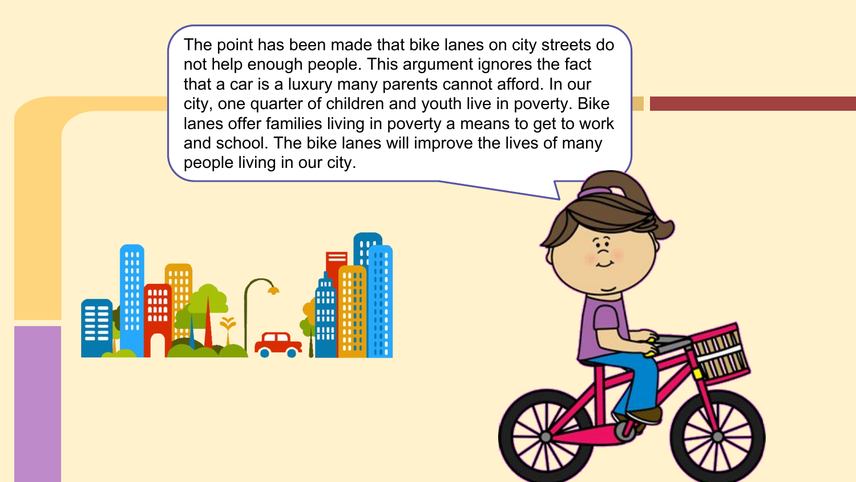The point has been made that bike lanes on city streets do not help enough people. This argument ignores the fact that a car is a luxury many parents cannot afford. In our city, one quarter of children and youth live in poverty. Bike lanes offer families living in poverty a means to get to work and school. The bike lanes will improve the lives of many people living in our city.



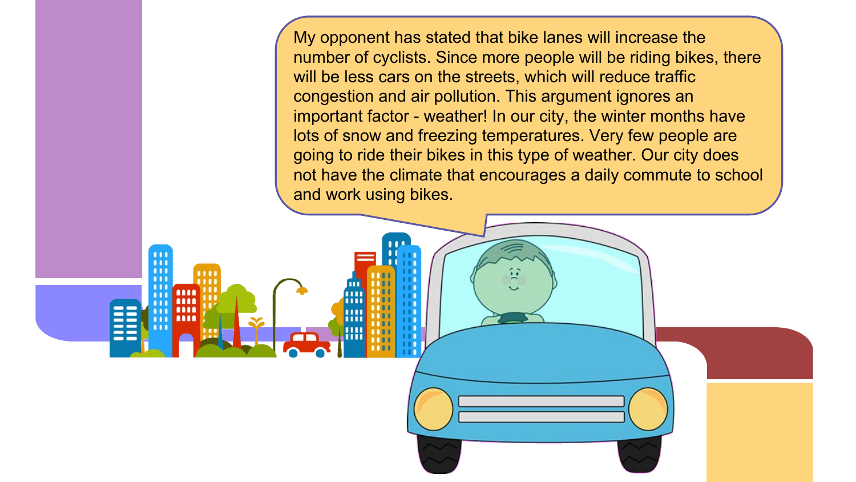My opponent has stated that bike lanes will increase the number of cyclists. Since more people will be riding bikes, there will be less cars on the streets, which will reduce traffic congestion and air pollution. This argument ignores an important factor - weather! In our city, the winter months have lots of snow and freezing temperatures. Very few people are going to ride their bikes in this type of weather. Our city does not have the climate that encourages a daily commute to school and work using bikes.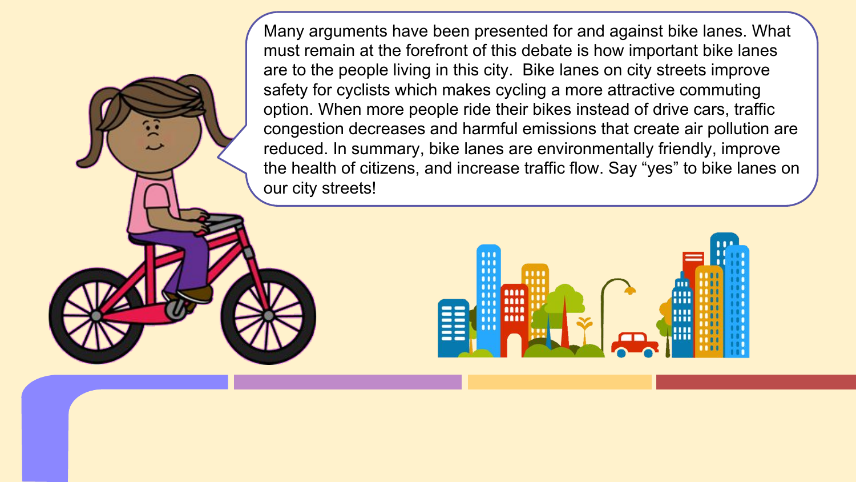Many arguments have been presented for and against bike lanes. What must remain at the forefront of this debate is how important bike lanes are to the people living in this city. Bike lanes on city streets improve safety for cyclists which makes cycling a more attractive commuting option. When more people ride their bikes instead of drive cars, traffic congestion decreases and harmful emissions that create air pollution are reduced. In summary, bike lanes are environmentally friendly, improve the health of citizens, and increase traffic flow. Say "yes" to bike lanes on our city streets!